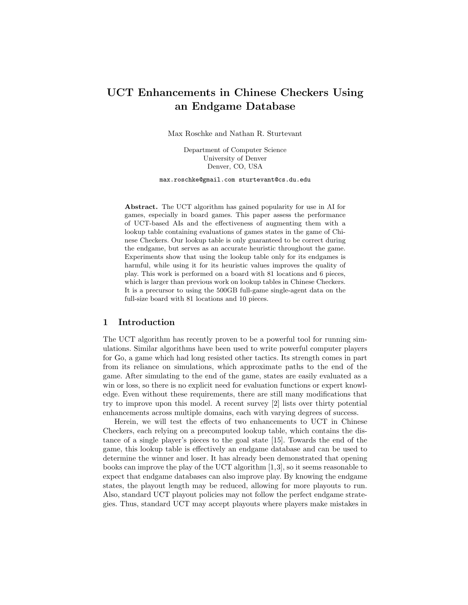# UCT Enhancements in Chinese Checkers Using an Endgame Database

Max Roschke and Nathan R. Sturtevant

Department of Computer Science University of Denver Denver, CO, USA

max.roschke@gmail.com sturtevant@cs.du.edu

Abstract. The UCT algorithm has gained popularity for use in AI for games, especially in board games. This paper assess the performance of UCT-based AIs and the effectiveness of augmenting them with a lookup table containing evaluations of games states in the game of Chinese Checkers. Our lookup table is only guaranteed to be correct during the endgame, but serves as an accurate heuristic throughout the game. Experiments show that using the lookup table only for its endgames is harmful, while using it for its heuristic values improves the quality of play. This work is performed on a board with 81 locations and 6 pieces, which is larger than previous work on lookup tables in Chinese Checkers. It is a precursor to using the 500GB full-game single-agent data on the full-size board with 81 locations and 10 pieces.

## 1 Introduction

The UCT algorithm has recently proven to be a powerful tool for running simulations. Similar algorithms have been used to write powerful computer players for Go, a game which had long resisted other tactics. Its strength comes in part from its reliance on simulations, which approximate paths to the end of the game. After simulating to the end of the game, states are easily evaluated as a win or loss, so there is no explicit need for evaluation functions or expert knowledge. Even without these requirements, there are still many modifications that try to improve upon this model. A recent survey [2] lists over thirty potential enhancements across multiple domains, each with varying degrees of success.

Herein, we will test the effects of two enhancements to UCT in Chinese Checkers, each relying on a precomputed lookup table, which contains the distance of a single player's pieces to the goal state [15]. Towards the end of the game, this lookup table is effectively an endgame database and can be used to determine the winner and loser. It has already been demonstrated that opening books can improve the play of the UCT algorithm [1,3], so it seems reasonable to expect that endgame databases can also improve play. By knowing the endgame states, the playout length may be reduced, allowing for more playouts to run. Also, standard UCT playout policies may not follow the perfect endgame strategies. Thus, standard UCT may accept playouts where players make mistakes in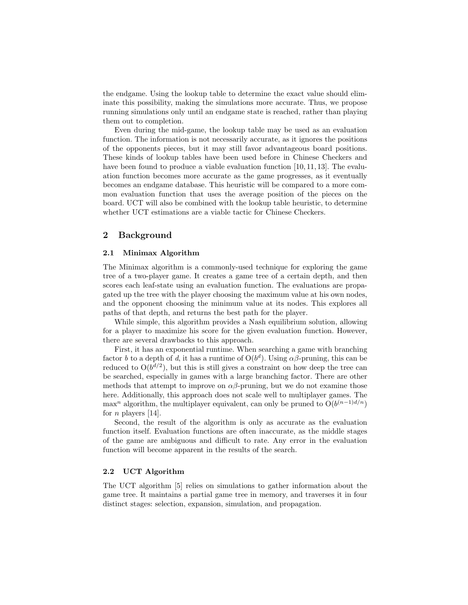the endgame. Using the lookup table to determine the exact value should eliminate this possibility, making the simulations more accurate. Thus, we propose running simulations only until an endgame state is reached, rather than playing them out to completion.

Even during the mid-game, the lookup table may be used as an evaluation function. The information is not necessarily accurate, as it ignores the positions of the opponents pieces, but it may still favor advantageous board positions. These kinds of lookup tables have been used before in Chinese Checkers and have been found to produce a viable evaluation function [10, 11, 13]. The evaluation function becomes more accurate as the game progresses, as it eventually becomes an endgame database. This heuristic will be compared to a more common evaluation function that uses the average position of the pieces on the board. UCT will also be combined with the lookup table heuristic, to determine whether UCT estimations are a viable tactic for Chinese Checkers.

## 2 Background

#### 2.1 Minimax Algorithm

The Minimax algorithm is a commonly-used technique for exploring the game tree of a two-player game. It creates a game tree of a certain depth, and then scores each leaf-state using an evaluation function. The evaluations are propagated up the tree with the player choosing the maximum value at his own nodes, and the opponent choosing the minimum value at its nodes. This explores all paths of that depth, and returns the best path for the player.

While simple, this algorithm provides a Nash equilibrium solution, allowing for a player to maximize his score for the given evaluation function. However, there are several drawbacks to this approach.

First, it has an exponential runtime. When searching a game with branching factor b to a depth of d, it has a runtime of  $O(b^d)$ . Using  $\alpha\beta$ -pruning, this can be reduced to  $O(b^{d/2})$ , but this is still gives a constraint on how deep the tree can be searched, especially in games with a large branching factor. There are other methods that attempt to improve on  $\alpha\beta$ -pruning, but we do not examine those here. Additionally, this approach does not scale well to multiplayer games. The max<sup>n</sup> algorithm, the multiplayer equivalent, can only be pruned to  $O(b^{(n-1)d/n})$ for *n* players [14].

Second, the result of the algorithm is only as accurate as the evaluation function itself. Evaluation functions are often inaccurate, as the middle stages of the game are ambiguous and difficult to rate. Any error in the evaluation function will become apparent in the results of the search.

## 2.2 UCT Algorithm

The UCT algorithm [5] relies on simulations to gather information about the game tree. It maintains a partial game tree in memory, and traverses it in four distinct stages: selection, expansion, simulation, and propagation.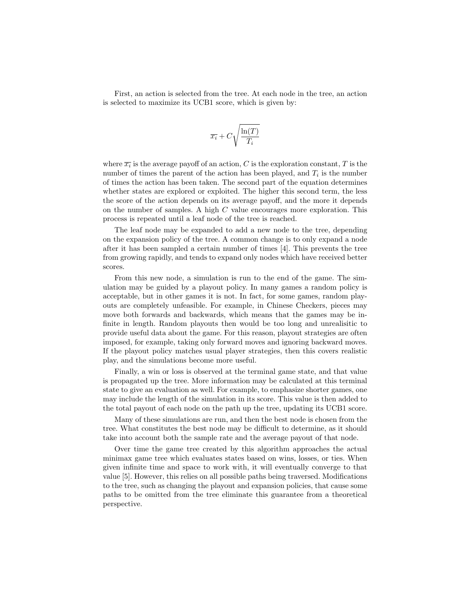First, an action is selected from the tree. At each node in the tree, an action is selected to maximize its UCB1 score, which is given by:

$$
\overline{x_i} + C \sqrt{\frac{\ln(T)}{T_i}}
$$

where  $\overline{x_i}$  is the average payoff of an action, C is the exploration constant, T is the number of times the parent of the action has been played, and  $T_i$  is the number of times the action has been taken. The second part of the equation determines whether states are explored or exploited. The higher this second term, the less the score of the action depends on its average payoff, and the more it depends on the number of samples. A high  $C$  value encourages more exploration. This process is repeated until a leaf node of the tree is reached.

The leaf node may be expanded to add a new node to the tree, depending on the expansion policy of the tree. A common change is to only expand a node after it has been sampled a certain number of times [4]. This prevents the tree from growing rapidly, and tends to expand only nodes which have received better scores.

From this new node, a simulation is run to the end of the game. The simulation may be guided by a playout policy. In many games a random policy is acceptable, but in other games it is not. In fact, for some games, random playouts are completely unfeasible. For example, in Chinese Checkers, pieces may move both forwards and backwards, which means that the games may be infinite in length. Random playouts then would be too long and unrealisitic to provide useful data about the game. For this reason, playout strategies are often imposed, for example, taking only forward moves and ignoring backward moves. If the playout policy matches usual player strategies, then this covers realistic play, and the simulations become more useful.

Finally, a win or loss is observed at the terminal game state, and that value is propagated up the tree. More information may be calculated at this terminal state to give an evaluation as well. For example, to emphasize shorter games, one may include the length of the simulation in its score. This value is then added to the total payout of each node on the path up the tree, updating its UCB1 score.

Many of these simulations are run, and then the best node is chosen from the tree. What constitutes the best node may be difficult to determine, as it should take into account both the sample rate and the average payout of that node.

Over time the game tree created by this algorithm approaches the actual minimax game tree which evaluates states based on wins, losses, or ties. When given infinite time and space to work with, it will eventually converge to that value [5]. However, this relies on all possible paths being traversed. Modifications to the tree, such as changing the playout and expansion policies, that cause some paths to be omitted from the tree eliminate this guarantee from a theoretical perspective.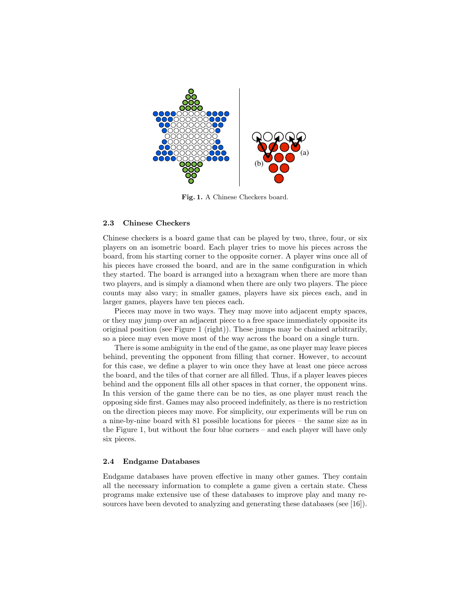

Fig. 1. A Chinese Checkers board.

#### 2.3 Chinese Checkers

Chinese checkers is a board game that can be played by two, three, four, or six players on an isometric board. Each player tries to move his pieces across the board, from his starting corner to the opposite corner. A player wins once all of his pieces have crossed the board, and are in the same configuration in which they started. The board is arranged into a hexagram when there are more than two players, and is simply a diamond when there are only two players. The piece counts may also vary; in smaller games, players have six pieces each, and in larger games, players have ten pieces each.

Pieces may move in two ways. They may move into adjacent empty spaces, or they may jump over an adjacent piece to a free space immediately opposite its original position (see Figure 1 (right)). These jumps may be chained arbitrarily, so a piece may even move most of the way across the board on a single turn.

There is some ambiguity in the end of the game, as one player may leave pieces behind, preventing the opponent from filling that corner. However, to account for this case, we define a player to win once they have at least one piece across the board, and the tiles of that corner are all filled. Thus, if a player leaves pieces behind and the opponent fills all other spaces in that corner, the opponent wins. In this version of the game there can be no ties, as one player must reach the opposing side first. Games may also proceed indefinitely, as there is no restriction on the direction pieces may move. For simplicity, our experiments will be run on a nine-by-nine board with 81 possible locations for pieces – the same size as in the Figure 1, but without the four blue corners – and each player will have only six pieces.

#### 2.4 Endgame Databases

Endgame databases have proven effective in many other games. They contain all the necessary information to complete a game given a certain state. Chess programs make extensive use of these databases to improve play and many resources have been devoted to analyzing and generating these databases (see [16]).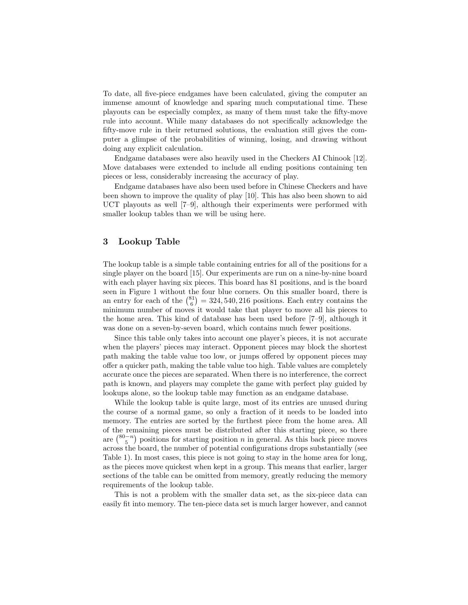To date, all five-piece endgames have been calculated, giving the computer an immense amount of knowledge and sparing much computational time. These playouts can be especially complex, as many of them must take the fifty-move rule into account. While many databases do not specifically acknowledge the fifty-move rule in their returned solutions, the evaluation still gives the computer a glimpse of the probabilities of winning, losing, and drawing without doing any explicit calculation.

Endgame databases were also heavily used in the Checkers AI Chinook [12]. Move databases were extended to include all ending positions containing ten pieces or less, considerably increasing the accuracy of play.

Endgame databases have also been used before in Chinese Checkers and have been shown to improve the quality of play [10]. This has also been shown to aid UCT playouts as well [7–9], although their experiments were performed with smaller lookup tables than we will be using here.

# 3 Lookup Table

The lookup table is a simple table containing entries for all of the positions for a single player on the board [15]. Our experiments are run on a nine-by-nine board with each player having six pieces. This board has 81 positions, and is the board seen in Figure 1 without the four blue corners. On this smaller board, there is an entry for each of the  $\binom{81}{6} = 324,540,216$  positions. Each entry contains the minimum number of moves it would take that player to move all his pieces to the home area. This kind of database has been used before [7–9], although it was done on a seven-by-seven board, which contains much fewer positions.

Since this table only takes into account one player's pieces, it is not accurate when the players' pieces may interact. Opponent pieces may block the shortest path making the table value too low, or jumps offered by opponent pieces may offer a quicker path, making the table value too high. Table values are completely accurate once the pieces are separated. When there is no interference, the correct path is known, and players may complete the game with perfect play guided by lookups alone, so the lookup table may function as an endgame database.

While the lookup table is quite large, most of its entries are unused during the course of a normal game, so only a fraction of it needs to be loaded into memory. The entries are sorted by the furthest piece from the home area. All of the remaining pieces must be distributed after this starting piece, so there are  $\binom{80-n}{5}$  positions for starting position *n* in general. As this back piece moves across the board, the number of potential configurations drops substantially (see Table 1). In most cases, this piece is not going to stay in the home area for long, as the pieces move quickest when kept in a group. This means that earlier, larger sections of the table can be omitted from memory, greatly reducing the memory requirements of the lookup table.

This is not a problem with the smaller data set, as the six-piece data can easily fit into memory. The ten-piece data set is much larger however, and cannot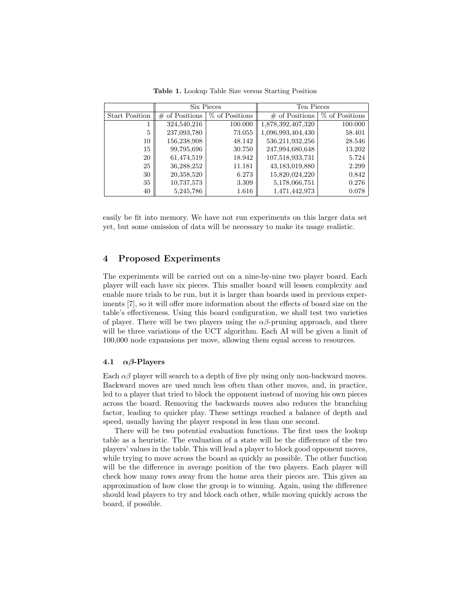|                |                               | Six Pieces     | Ten Pieces        |                |  |
|----------------|-------------------------------|----------------|-------------------|----------------|--|
| Start Position | $\#$ of Positions $\parallel$ | % of Positions | $\#$ of Positions | % of Positions |  |
|                | 324,540,216                   | 100.000        | 1,878,392,407,320 | 100.000        |  |
| 5              | 237,093,780                   | 73.055         | 1,096,993,404,430 | 58.401         |  |
| 10             | 156,238,908                   | 48.142         | 536,211,932,256   | 28.546         |  |
| 15             | 99,795,696                    | 30.750         | 247,994,680,648   | 13.202         |  |
| 20             | 61,474,519                    | 18.942         | 107,518,933,731   | 5.724          |  |
| 25             | 36,288,252                    | 11.181         | 43,183,019,880    | 2.299          |  |
| 30             | 20,358,520                    | 6.273          | 15,820,024,220    | 0.842          |  |
| 35             | 10,737,573                    | 3.309          | 5,178,066,751     | 0.276          |  |
| 40             | 5,245,786                     | 1.616          | 1,471,442,973     | 0.078          |  |

Table 1. Lookup Table Size versus Starting Position

easily be fit into memory. We have not run experiments on this larger data set yet, but some omission of data will be necessary to make its usage realistic.

## 4 Proposed Experiments

The experiments will be carried out on a nine-by-nine two player board. Each player will each have six pieces. This smaller board will lessen complexity and enable more trials to be run, but it is larger than boards used in previous experiments [7], so it will offer more information about the effects of board size on the table's effectiveness. Using this board configuration, we shall test two varieties of player. There will be two players using the  $\alpha\beta$ -pruning approach, and there will be three variations of the UCT algorithm. Each AI will be given a limit of 100,000 node expansions per move, allowing them equal access to resources.

#### 4.1  $\alpha\beta$ -Players

Each  $\alpha\beta$  player will search to a depth of five ply using only non-backward moves. Backward moves are used much less often than other moves, and, in practice, led to a player that tried to block the opponent instead of moving his own pieces across the board. Removing the backwards moves also reduces the branching factor, leading to quicker play. These settings reached a balance of depth and speed, usually having the player respond in less than one second.

There will be two potential evaluation functions. The first uses the lookup table as a heuristic. The evaluation of a state will be the difference of the two players' values in the table. This will lead a player to block good opponent moves, while trying to move across the board as quickly as possible. The other function will be the difference in average position of the two players. Each player will check how many rows away from the home area their pieces are. This gives an approximation of how close the group is to winning. Again, using the difference should lead players to try and block each other, while moving quickly across the board, if possible.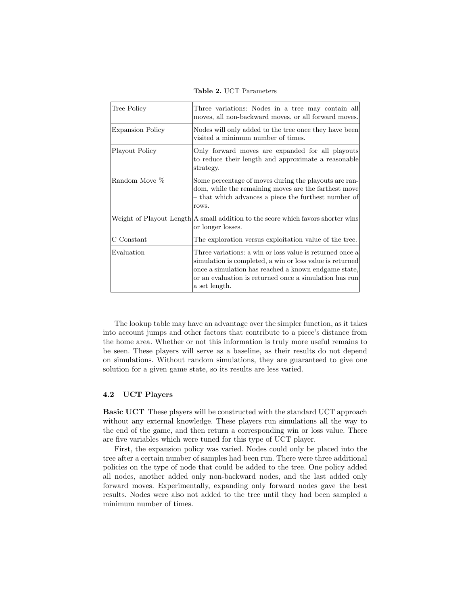Table 2. UCT Parameters

| Tree Policy             | Three variations: Nodes in a tree may contain all<br>moves, all non-backward moves, or all forward moves.                                                                                                                                               |
|-------------------------|---------------------------------------------------------------------------------------------------------------------------------------------------------------------------------------------------------------------------------------------------------|
| <b>Expansion Policy</b> | Nodes will only added to the tree once they have been<br>visited a minimum number of times.                                                                                                                                                             |
| Playout Policy          | Only forward moves are expanded for all playouts<br>to reduce their length and approximate a reasonable<br>strategy.                                                                                                                                    |
| Random Move %           | Some percentage of moves during the playouts are ran-<br>dom, while the remaining moves are the farthest move<br>- that which advances a piece the furthest number of<br>rows.                                                                          |
|                         | Weight of Playout Length $A$ small addition to the score which favors shorter wins<br>or longer losses.                                                                                                                                                 |
| C Constant              | The exploration versus exploitation value of the tree.                                                                                                                                                                                                  |
| Evaluation              | Three variations: a win or loss value is returned once a<br>simulation is completed, a win or loss value is returned<br>once a simulation has reached a known endgame state,<br>or an evaluation is returned once a simulation has run<br>a set length. |

The lookup table may have an advantage over the simpler function, as it takes into account jumps and other factors that contribute to a piece's distance from the home area. Whether or not this information is truly more useful remains to be seen. These players will serve as a baseline, as their results do not depend on simulations. Without random simulations, they are guaranteed to give one solution for a given game state, so its results are less varied.

## 4.2 UCT Players

Basic UCT These players will be constructed with the standard UCT approach without any external knowledge. These players run simulations all the way to the end of the game, and then return a corresponding win or loss value. There are five variables which were tuned for this type of UCT player.

First, the expansion policy was varied. Nodes could only be placed into the tree after a certain number of samples had been run. There were three additional policies on the type of node that could be added to the tree. One policy added all nodes, another added only non-backward nodes, and the last added only forward moves. Experimentally, expanding only forward nodes gave the best results. Nodes were also not added to the tree until they had been sampled a minimum number of times.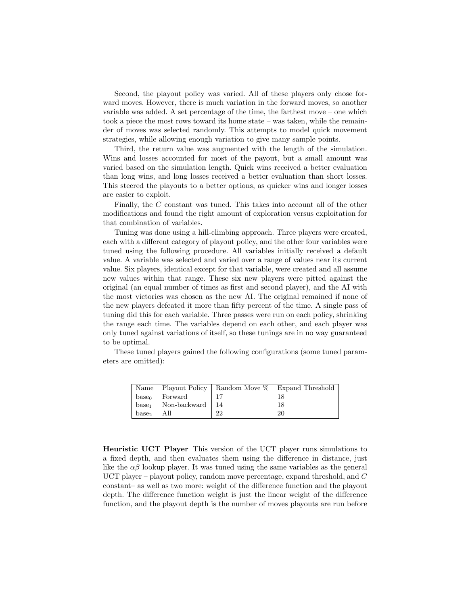Second, the playout policy was varied. All of these players only chose forward moves. However, there is much variation in the forward moves, so another variable was added. A set percentage of the time, the farthest move – one which took a piece the most rows toward its home state – was taken, while the remainder of moves was selected randomly. This attempts to model quick movement strategies, while allowing enough variation to give many sample points.

Third, the return value was augmented with the length of the simulation. Wins and losses accounted for most of the payout, but a small amount was varied based on the simulation length. Quick wins received a better evaluation than long wins, and long losses received a better evaluation than short losses. This steered the playouts to a better options, as quicker wins and longer losses are easier to exploit.

Finally, the C constant was tuned. This takes into account all of the other modifications and found the right amount of exploration versus exploitation for that combination of variables.

Tuning was done using a hill-climbing approach. Three players were created, each with a different category of playout policy, and the other four variables were tuned using the following procedure. All variables initially received a default value. A variable was selected and varied over a range of values near its current value. Six players, identical except for that variable, were created and all assume new values within that range. These six new players were pitted against the original (an equal number of times as first and second player), and the AI with the most victories was chosen as the new AI. The original remained if none of the new players defeated it more than fifty percent of the time. A single pass of tuning did this for each variable. Three passes were run on each policy, shrinking the range each time. The variables depend on each other, and each player was only tuned against variations of itself, so these tunings are in no way guaranteed to be optimal.

These tuned players gained the following configurations (some tuned parameters are omitted):

|                   |                              |    | Name   Playout Policy   Random Move $\%$   Expand Threshold |
|-------------------|------------------------------|----|-------------------------------------------------------------|
|                   | $base_0$ Forward             | 17 | 18                                                          |
|                   | $base_1$   Non-backward   14 |    | 18                                                          |
| base <sub>2</sub> | All                          | 22 | 20                                                          |

Heuristic UCT Player This version of the UCT player runs simulations to a fixed depth, and then evaluates them using the difference in distance, just like the  $\alpha\beta$  lookup player. It was tuned using the same variables as the general UCT player – playout policy, random move percentage, expand threshold, and C constant– as well as two more: weight of the difference function and the playout depth. The difference function weight is just the linear weight of the difference function, and the playout depth is the number of moves playouts are run before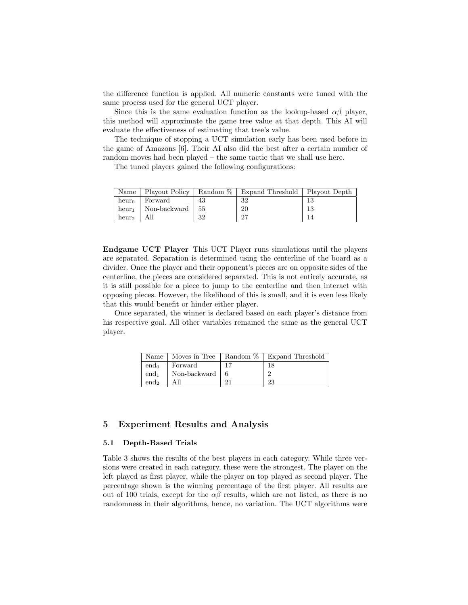the difference function is applied. All numeric constants were tuned with the same process used for the general UCT player.

Since this is the same evaluation function as the lookup-based  $\alpha\beta$  player, this method will approximate the game tree value at that depth. This AI will evaluate the effectiveness of estimating that tree's value.

The technique of stopping a UCT simulation early has been used before in the game of Amazons [6]. Their AI also did the best after a certain number of random moves had been played – the same tactic that we shall use here.

The tuned players gained the following configurations:

| Name              |              |     | Playout Policy   Random %   Expand Threshold   Playout Depth |    |
|-------------------|--------------|-----|--------------------------------------------------------------|----|
| heur <sub>0</sub> | Forward      | -43 | 32                                                           |    |
| $heur_1$          | Non-backward | 55  | 20                                                           | 13 |
| heur              | All          | 32  | 27                                                           |    |

Endgame UCT Player This UCT Player runs simulations until the players are separated. Separation is determined using the centerline of the board as a divider. Once the player and their opponent's pieces are on opposite sides of the centerline, the pieces are considered separated. This is not entirely accurate, as it is still possible for a piece to jump to the centerline and then interact with opposing pieces. However, the likelihood of this is small, and it is even less likely that this would benefit or hinder either player.

Once separated, the winner is declared based on each player's distance from his respective goal. All other variables remained the same as the general UCT player.

|                  |                        | Name   Moves in Tree   Random $\%$   Expand Threshold |
|------------------|------------------------|-------------------------------------------------------|
| end <sub>o</sub> | Forward                |                                                       |
| end <sub>1</sub> | Non-backward $\vert$ 6 |                                                       |
| end <sub>2</sub> |                        | 23                                                    |

# 5 Experiment Results and Analysis

#### 5.1 Depth-Based Trials

Table 3 shows the results of the best players in each category. While three versions were created in each category, these were the strongest. The player on the left played as first player, while the player on top played as second player. The percentage shown is the winning percentage of the first player. All results are out of 100 trials, except for the  $\alpha\beta$  results, which are not listed, as there is no randomness in their algorithms, hence, no variation. The UCT algorithms were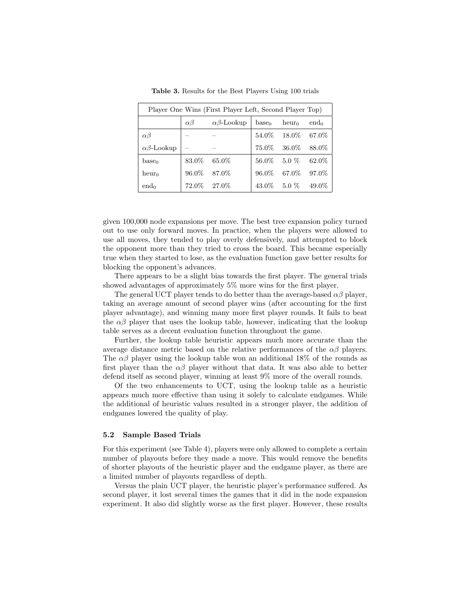| Player One Wins (First Player Left, Second Player Top) |               |                       |                   |                           |          |  |  |
|--------------------------------------------------------|---------------|-----------------------|-------------------|---------------------------|----------|--|--|
|                                                        | $\alpha\beta$ | $\alpha\beta$ -Lookup | base <sub>0</sub> | $heur_0$                  | $end_0$  |  |  |
| $\alpha\beta$                                          |               |                       |                   | 54.0\% 18.0\% 67.0\%      |          |  |  |
| $\alpha\beta$ -Lookup                                  |               |                       |                   | 75.0\% 36.0\%             | 88.0%    |  |  |
| base <sub>0</sub>                                      | 83.0%         | $65.0\%$              |                   | $56.0\%$ 5.0 $\%$         | $62.0\%$ |  |  |
| $heur_0$                                               | 96.0%         | 87.0%                 | 96.0%             | $67.0\%$ $97.0\%$         |          |  |  |
| $end_0$                                                |               | 72.0\% 27.0\%         |                   | $43.0\%$ $5.0\%$ $49.0\%$ |          |  |  |

Table 3. Results for the Best Players Using 100 trials

given 100,000 node expansions per move. The best tree expansion policy turned out to use only forward moves. In practice, when the players were allowed to use all moves, they tended to play overly defensively, and attempted to block the opponent more than they tried to cross the board. This became especially true when they started to lose, as the evaluation function gave better results for blocking the opponent's advances.

There appears to be a slight bias towards the first player. The general trials showed advantages of approximately 5% more wins for the first player.

The general UCT player tends to do better than the average-based  $\alpha\beta$  player, taking an average amount of second player wins (after accounting for the first player advantage), and winning many more first player rounds. It fails to beat the  $\alpha\beta$  player that uses the lookup table, however, indicating that the lookup table serves as a decent evaluation function throughout the game.

Further, the lookup table heuristic appears much more accurate than the average distance metric based on the relative performances of the  $\alpha\beta$  players. The  $\alpha\beta$  player using the lookup table won an additional 18% of the rounds as first player than the  $\alpha\beta$  player without that data. It was also able to better defend itself as second player, winning at least 9% more of the overall rounds.

Of the two enhancements to UCT, using the lookup table as a heuristic appears much more effective than using it solely to calculate endgames. While the additional of heuristic values resulted in a stronger player, the addition of endgames lowered the quality of play.

#### 5.2 Sample Based Trials

For this experiment (see Table 4), players were only allowed to complete a certain number of playouts before they made a move. This would remove the benefits of shorter playouts of the heuristic player and the endgame player, as there are a limited number of playouts regardless of depth.

Versus the plain UCT player, the heuristic player's performance suffered. As second player, it lost several times the games that it did in the node expansion experiment. It also did slightly worse as the first player. However, these results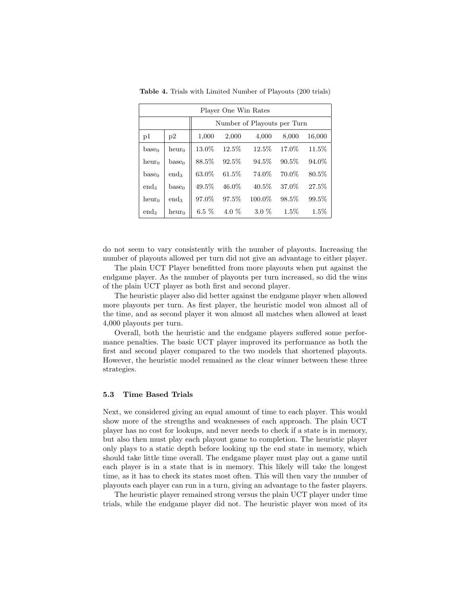| Player One Win Rates |                   |                                            |       |         |          |         |  |
|----------------------|-------------------|--------------------------------------------|-------|---------|----------|---------|--|
|                      |                   | Number of Playouts per Turn                |       |         |          |         |  |
| p1                   | p2                | 1,000<br>16,000<br>4,000<br>2,000<br>8,000 |       |         |          |         |  |
| base <sub>0</sub>    | $heur_0$          | 13.0%                                      | 12.5% | 12.5%   | 17.0%    | 11.5%   |  |
| $heur_0$             | base <sub>0</sub> | 88.5%                                      | 92.5% | 94.5%   | $90.5\%$ | 94.0%   |  |
| base <sub>0</sub>    | $end_3$           | $63.0\%$                                   | 61.5% | 74.0%   | 70.0%    | 80.5%   |  |
| $end_3$              | base <sub>0</sub> | 49.5%                                      | 46.0% | 40.5%   | 37.0%    | 27.5%   |  |
| heur <sub>0</sub>    | end <sub>3</sub>  | 97.0%                                      | 97.5% | 100.0%  | 98.5%    | 99.5%   |  |
| end <sub>3</sub>     | $heur_0$          | $6.5\%$                                    | 4.0 % | $3.0\%$ | $1.5\%$  | $1.5\%$ |  |

Table 4. Trials with Limited Number of Playouts (200 trials)

do not seem to vary consistently with the number of playouts. Increasing the number of playouts allowed per turn did not give an advantage to either player.

The plain UCT Player benefitted from more playouts when put against the endgame player. As the number of playouts per turn increased, so did the wins of the plain UCT player as both first and second player.

The heuristic player also did better against the endgame player when allowed more playouts per turn. As first player, the heuristic model won almost all of the time, and as second player it won almost all matches when allowed at least 4,000 playouts per turn.

Overall, both the heuristic and the endgame players suffered some performance penalties. The basic UCT player improved its performance as both the first and second player compared to the two models that shortened playouts. However, the heuristic model remained as the clear winner between these three strategies.

#### 5.3 Time Based Trials

Next, we considered giving an equal amount of time to each player. This would show more of the strengths and weaknesses of each approach. The plain UCT player has no cost for lookups, and never needs to check if a state is in memory, but also then must play each playout game to completion. The heuristic player only plays to a static depth before looking up the end state in memory, which should take little time overall. The endgame player must play out a game until each player is in a state that is in memory. This likely will take the longest time, as it has to check its states most often. This will then vary the number of playouts each player can run in a turn, giving an advantage to the faster players.

The heuristic player remained strong versus the plain UCT player under time trials, while the endgame player did not. The heuristic player won most of its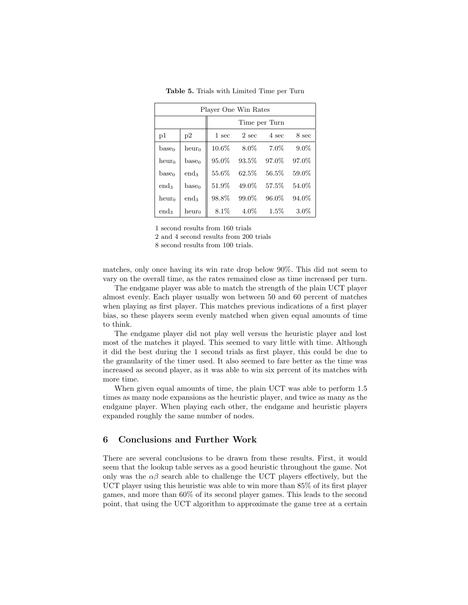| Player One Win Rates |                   |               |               |          |         |  |
|----------------------|-------------------|---------------|---------------|----------|---------|--|
|                      |                   | Time per Turn |               |          |         |  |
| p1                   | p2                | 1 sec         | 2 sec         | 4 sec    | 8 sec   |  |
| base <sub>0</sub>    | heur <sub>0</sub> | $10.6\%$      | $8.0\%$       | $7.0\%$  | $9.0\%$ |  |
| heuro                | base <sub>0</sub> | 95.0%         | 93.5\% 97.0\% |          | 97.0%   |  |
| base <sub>0</sub>    | end <sub>3</sub>  | 55.6%         | 62.5\% 56.5\% |          | 59.0%   |  |
| end <sub>3</sub>     | base <sub>0</sub> | 51.9%         | 49.0%         | $57.5\%$ | 54.0%   |  |
| $heur_0$             | end <sub>3</sub>  | 98.8%         | 99.0%         | 96.0%    | 94.0%   |  |
| end <sub>3</sub>     | $heur_0$          | $8.1\%$       | $4.0\%$       | $1.5\%$  | $3.0\%$ |  |

Table 5. Trials with Limited Time per Turn

1 second results from 160 trials

2 and 4 second results from 200 trials

8 second results from 100 trials.

matches, only once having its win rate drop below 90%. This did not seem to vary on the overall time, as the rates remained close as time increased per turn.

The endgame player was able to match the strength of the plain UCT player almost evenly. Each player usually won between 50 and 60 percent of matches when playing as first player. This matches previous indications of a first player bias, so these players seem evenly matched when given equal amounts of time to think.

The endgame player did not play well versus the heuristic player and lost most of the matches it played. This seemed to vary little with time. Although it did the best during the 1 second trials as first player, this could be due to the granularity of the timer used. It also seemed to fare better as the time was increased as second player, as it was able to win six percent of its matches with more time.

When given equal amounts of time, the plain UCT was able to perform 1.5 times as many node expansions as the heuristic player, and twice as many as the endgame player. When playing each other, the endgame and heuristic players expanded roughly the same number of nodes.

# 6 Conclusions and Further Work

There are several conclusions to be drawn from these results. First, it would seem that the lookup table serves as a good heuristic throughout the game. Not only was the  $\alpha\beta$  search able to challenge the UCT players effectively, but the UCT player using this heuristic was able to win more than 85% of its first player games, and more than 60% of its second player games. This leads to the second point, that using the UCT algorithm to approximate the game tree at a certain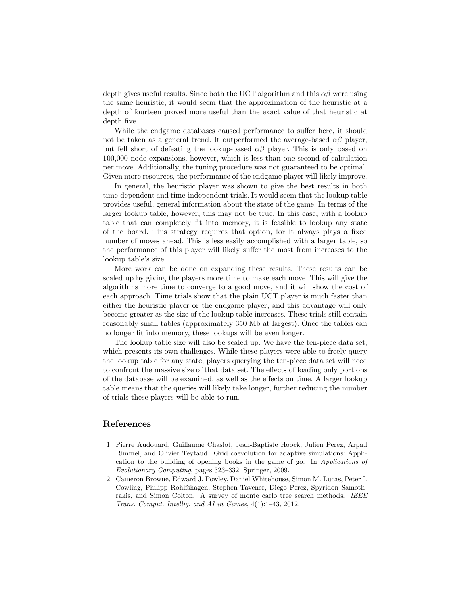depth gives useful results. Since both the UCT algorithm and this  $\alpha\beta$  were using the same heuristic, it would seem that the approximation of the heuristic at a depth of fourteen proved more useful than the exact value of that heuristic at depth five.

While the endgame databases caused performance to suffer here, it should not be taken as a general trend. It outperformed the average-based  $\alpha\beta$  player, but fell short of defeating the lookup-based  $\alpha\beta$  player. This is only based on 100,000 node expansions, however, which is less than one second of calculation per move. Additionally, the tuning procedure was not guaranteed to be optimal. Given more resources, the performance of the endgame player will likely improve.

In general, the heuristic player was shown to give the best results in both time-dependent and time-independent trials. It would seem that the lookup table provides useful, general information about the state of the game. In terms of the larger lookup table, however, this may not be true. In this case, with a lookup table that can completely fit into memory, it is feasible to lookup any state of the board. This strategy requires that option, for it always plays a fixed number of moves ahead. This is less easily accomplished with a larger table, so the performance of this player will likely suffer the most from increases to the lookup table's size.

More work can be done on expanding these results. These results can be scaled up by giving the players more time to make each move. This will give the algorithms more time to converge to a good move, and it will show the cost of each approach. Time trials show that the plain UCT player is much faster than either the heuristic player or the endgame player, and this advantage will only become greater as the size of the lookup table increases. These trials still contain reasonably small tables (approximately 350 Mb at largest). Once the tables can no longer fit into memory, these lookups will be even longer.

The lookup table size will also be scaled up. We have the ten-piece data set, which presents its own challenges. While these players were able to freely query the lookup table for any state, players querying the ten-piece data set will need to confront the massive size of that data set. The effects of loading only portions of the database will be examined, as well as the effects on time. A larger lookup table means that the queries will likely take longer, further reducing the number of trials these players will be able to run.

# References

- 1. Pierre Audouard, Guillaume Chaslot, Jean-Baptiste Hoock, Julien Perez, Arpad Rimmel, and Olivier Teytaud. Grid coevolution for adaptive simulations: Application to the building of opening books in the game of go. In Applications of Evolutionary Computing, pages 323–332. Springer, 2009.
- 2. Cameron Browne, Edward J. Powley, Daniel Whitehouse, Simon M. Lucas, Peter I. Cowling, Philipp Rohlfshagen, Stephen Tavener, Diego Perez, Spyridon Samothrakis, and Simon Colton. A survey of monte carlo tree search methods. IEEE Trans. Comput. Intellig. and AI in Games, 4(1):1–43, 2012.